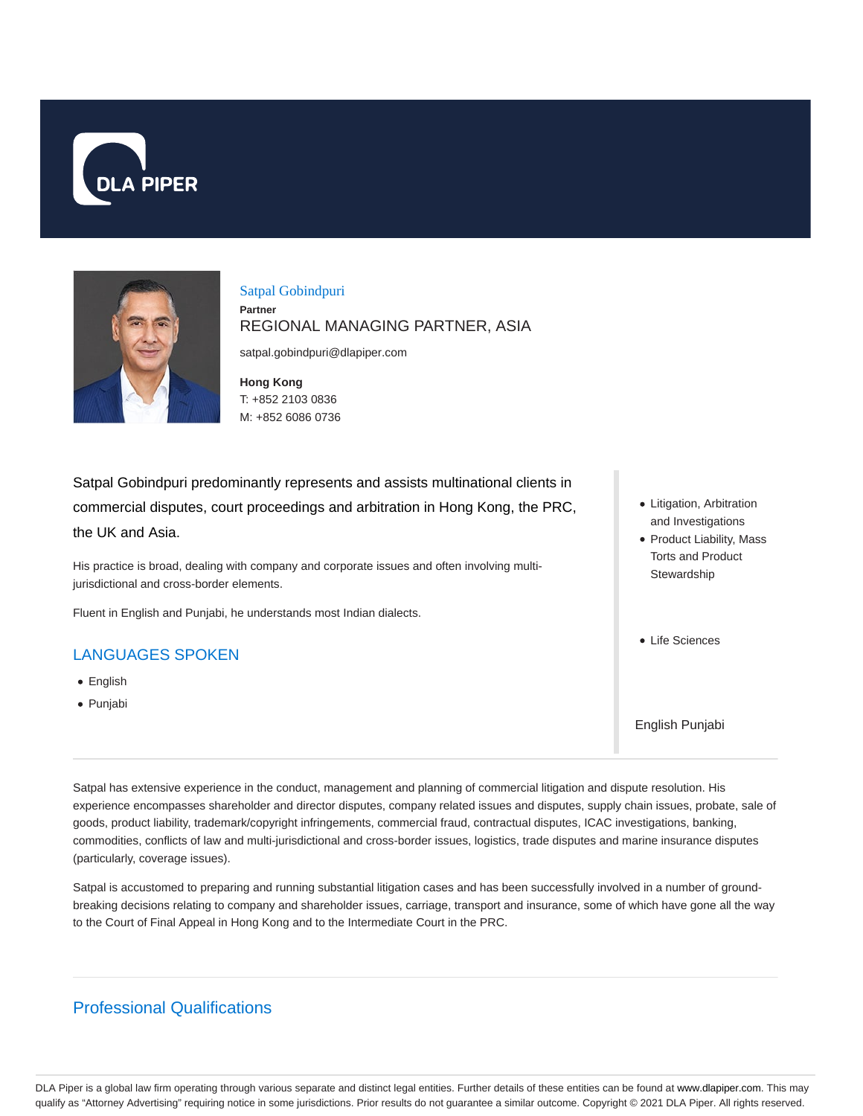



Satpal Gobindpuri **Partner** REGIONAL MANAGING PARTNER, ASIA

satpal.gobindpuri@dlapiper.com

**Hong Kong** T: +852 2103 0836 M: +852 6086 0736

Satpal Gobindpuri predominantly represents and assists multinational clients in commercial disputes, court proceedings and arbitration in Hong Kong, the PRC, the UK and Asia.

His practice is broad, dealing with company and corporate issues and often involving multijurisdictional and cross-border elements.

Fluent in English and Punjabi, he understands most Indian dialects.

## LANGUAGES SPOKEN

- English
- Punjabi
- Litigation, Arbitration and Investigations
- Product Liability, Mass Torts and Product **Stewardship**
- Life Sciences

English Punjabi

Satpal has extensive experience in the conduct, management and planning of commercial litigation and dispute resolution. His experience encompasses shareholder and director disputes, company related issues and disputes, supply chain issues, probate, sale of goods, product liability, trademark/copyright infringements, commercial fraud, contractual disputes, ICAC investigations, banking, commodities, conflicts of law and multi-jurisdictional and cross-border issues, logistics, trade disputes and marine insurance disputes (particularly, coverage issues).

Satpal is accustomed to preparing and running substantial litigation cases and has been successfully involved in a number of groundbreaking decisions relating to company and shareholder issues, carriage, transport and insurance, some of which have gone all the way to the Court of Final Appeal in Hong Kong and to the Intermediate Court in the PRC.

# Professional Qualifications

DLA Piper is a global law firm operating through various separate and distinct legal entities. Further details of these entities can be found at www.dlapiper.com. This may qualify as "Attorney Advertising" requiring notice in some jurisdictions. Prior results do not guarantee a similar outcome. Copyright © 2021 DLA Piper. All rights reserved.